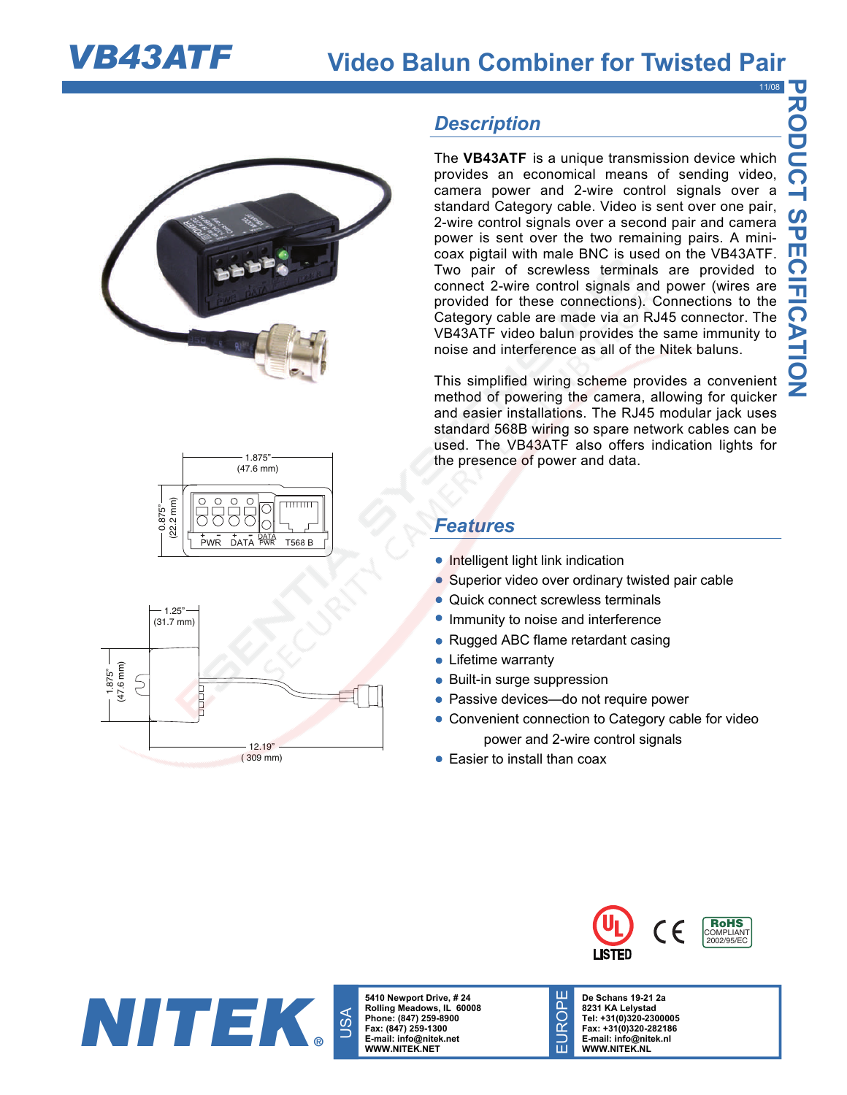





## *Description*

The **VB43ATF** is a unique transmission device which provides an economical means of sending video, camera power and 2-wire control signals over a standard Category cable. Video is sent over one pair, 2-wire control signals over a second pair and camera power is sent over the two remaining pairs. A minicoax pigtail with male BNC is used on the VB43ATF. Two pair of screwless terminals are provided to connect 2-wire control signals and power (wires are provided for these connections). Connections to the Category cable are made via an RJ45 connector. The VB43ATF video balun provides the same immunity to noise and interference as all of the Nitek baluns.

This simplified wiring scheme provides a convenient method of powering the camera, allowing for quicker and easier installations. The RJ45 modular jack uses standard 568B wiring so spare network cables can be used. The VB43ATF also offers indication lights for the presence of power and data.

## *Features*

- Intelligent light link indication
- Superior video over ordinary twisted pair cable
- Quick connect screwless terminals
- Immunity to noise and interference
- Rugged ABC flame retardant casing
- Lifetime warranty
- Built-in surge suppression
- Passive devices-do not require power

EUROPE

EUROPE

- Convenient connection to Category cable for video power and 2-wire control signals
- Easier to install than coax



**5410 Newport Drive, # 24 Rolling Meadows, IL 60008 Phone: (847) 259-8900 Fax: (847) 259-1300 E-mail: info@nitek.net WWW.NITEK.NET** 



**De Schans 19-21 2a 8231 KA Lelystad Tel: +31(0)320-2300005 Fax: +31(0)320-282186 E-mail: info@nitek.nl WWW.NITEK.NL** 



11/08